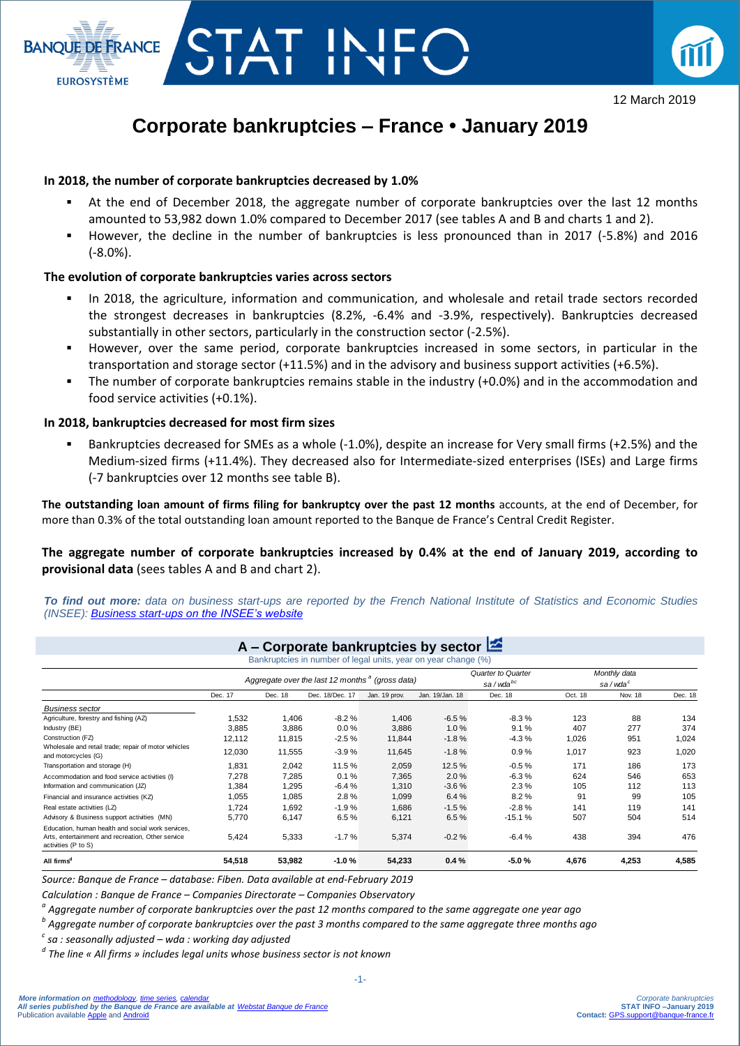



12 March 2019

# **Corporate bankruptcies – France • January 2019**

#### **In 2018, the number of corporate bankruptcies decreased by 1.0%**

- At the end of December 2018, the aggregate number of corporate bankruptcies over the last 12 months amounted to 53,982 down 1.0% compared to December 2017 (see tables A and B and charts 1 and 2).
- However, the decline in the number of bankruptcies is less pronounced than in 2017 (-5.8%) and 2016 (-8.0%).

### **The evolution of corporate bankruptcies varies across sectors**

- In 2018, the agriculture, information and communication, and wholesale and retail trade sectors recorded the strongest decreases in bankruptcies (8.2%, -6.4% and -3.9%, respectively). Bankruptcies decreased substantially in other sectors, particularly in the construction sector (-2.5%).
- However, over the same period, corporate bankruptcies increased in some sectors, in particular in the transportation and storage sector (+11.5%) and in the advisory and business support activities (+6.5%).
- The number of corporate bankruptcies remains stable in the industry (+0.0%) and in the accommodation and food service activities (+0.1%).

#### **In 2018, bankruptcies decreased for most firm sizes**

 Bankruptcies decreased for SMEs as a whole (-1.0%), despite an increase for Very small firms (+2.5%) and the Medium-sized firms (+11.4%). They decreased also for Intermediate-sized enterprises (ISEs) and Large firms (-7 bankruptcies over 12 months see table B).

**The outstanding loan amount of firms filing for bankruptcy over the past 12 months** accounts, at the end of December, for more than 0.3% of the total outstanding loan amount reported to the Banque de France's Central Credit Register.

**The aggregate number of corporate bankruptcies increased by 0.4% at the end of January 2019, according to**  provisional data (sees tables A and B and chart 2).

*To find out more: data on business start-ups are reported by the French National Institute of Statistics and Economic Studies (INSEE): [Business start-ups on the INSEE's website](https://www.insee.fr/en/statistiques/3716423)*

|                                                                                                                               | Bankruptcies in number of legal units, year on year change (%)<br>Aggregate over the last 12 months <sup>a</sup> (gross data) |         |                 |               |                 | <b>Quarter to Quarter</b><br>sa/wda <sup>bc</sup> |         | Monthly data<br>sa/wda <sup>c</sup> |         |  |
|-------------------------------------------------------------------------------------------------------------------------------|-------------------------------------------------------------------------------------------------------------------------------|---------|-----------------|---------------|-----------------|---------------------------------------------------|---------|-------------------------------------|---------|--|
|                                                                                                                               |                                                                                                                               |         |                 |               |                 |                                                   |         |                                     |         |  |
|                                                                                                                               | Dec. 17                                                                                                                       | Dec. 18 | Dec. 18/Dec. 17 | Jan. 19 prov. | Jan. 19/Jan. 18 | Dec. 18                                           | Oct. 18 | Nov. 18                             | Dec. 18 |  |
| <b>Business sector</b>                                                                                                        |                                                                                                                               |         |                 |               |                 |                                                   |         |                                     |         |  |
| Agriculture, forestry and fishing (AZ)                                                                                        | 1,532                                                                                                                         | 1,406   | $-8.2%$         | 1,406         | $-6.5%$         | $-8.3%$                                           | 123     | 88                                  | 134     |  |
| Industry (BE)                                                                                                                 | 3.885                                                                                                                         | 3.886   | 0.0%            | 3,886         | 1.0%            | 9.1%                                              | 407     | 277                                 | 374     |  |
| Construction (FZ)                                                                                                             | 12,112                                                                                                                        | 11,815  | $-2.5%$         | 11,844        | $-1.8%$         | $-4.3%$                                           | 1,026   | 951                                 | 1,024   |  |
| Wholesale and retail trade; repair of motor vehicles<br>and motorcycles (G)                                                   | 12,030                                                                                                                        | 11,555  | $-3.9%$         | 11,645        | $-1.8%$         | 0.9%                                              | 1,017   | 923                                 | 1,020   |  |
| Transportation and storage (H)                                                                                                | 1.831                                                                                                                         | 2,042   | 11.5%           | 2,059         | 12.5%           | $-0.5%$                                           | 171     | 186                                 | 173     |  |
| Accommodation and food service activities (I)                                                                                 | 7.278                                                                                                                         | 7,285   | 0.1%            | 7,365         | 2.0%            | $-6.3%$                                           | 624     | 546                                 | 653     |  |
| Information and communication (JZ)                                                                                            | 1,384                                                                                                                         | 1,295   | $-6.4%$         | 1,310         | $-3.6%$         | 2.3%                                              | 105     | 112                                 | 113     |  |
| Financial and insurance activities (KZ)                                                                                       | 1,055                                                                                                                         | 1,085   | 2.8%            | 1,099         | 6.4%            | 8.2%                                              | 91      | 99                                  | 105     |  |
| Real estate activities (LZ)                                                                                                   | 1.724                                                                                                                         | 1.692   | $-1.9%$         | 1.686         | $-1.5%$         | $-2.8%$                                           | 141     | 119                                 | 141     |  |
| Advisory & Business support activities (MN)                                                                                   | 5,770                                                                                                                         | 6,147   | 6.5%            | 6,121         | 6.5%            | $-15.1%$                                          | 507     | 504                                 | 514     |  |
| Education, human health and social work services,<br>Arts, entertainment and recreation, Other service<br>activities (P to S) | 5,424                                                                                                                         | 5,333   | $-1.7%$         | 5,374         | $-0.2%$         | $-6.4%$                                           | 438     | 394                                 | 476     |  |
| All firms <sup>d</sup>                                                                                                        | 54,518                                                                                                                        | 53,982  | $-1.0%$         | 54,233        | 0.4%            | $-5.0%$                                           | 4,676   | 4,253                               | 4,585   |  |
| Source: Banque de France – database: Fiben. Data available at end-February 2019                                               |                                                                                                                               |         |                 |               |                 |                                                   |         |                                     |         |  |
| Calculation : Banque de France – Companies Directorate – Companies Observatory                                                |                                                                                                                               |         |                 |               |                 |                                                   |         |                                     |         |  |
| $^a$ Aggregate number of corporate bankruptcies over the past 12 months compared to the same aggregate one year ago           |                                                                                                                               |         |                 |               |                 |                                                   |         |                                     |         |  |
| $^{\rm b}$ Aggregate number of corporate bankruptcies over the past 3 months compared to the same aggregate three months ago  |                                                                                                                               |         |                 |               |                 |                                                   |         |                                     |         |  |
|                                                                                                                               |                                                                                                                               |         |                 |               |                 |                                                   |         |                                     |         |  |
| sa : seasonally adjusted – wda : working day adjusted                                                                         |                                                                                                                               |         |                 |               |                 |                                                   |         |                                     |         |  |
| <sup>d</sup> The line « All firms » includes legal units whose business sector is not known                                   |                                                                                                                               |         |                 |               |                 |                                                   |         |                                     |         |  |